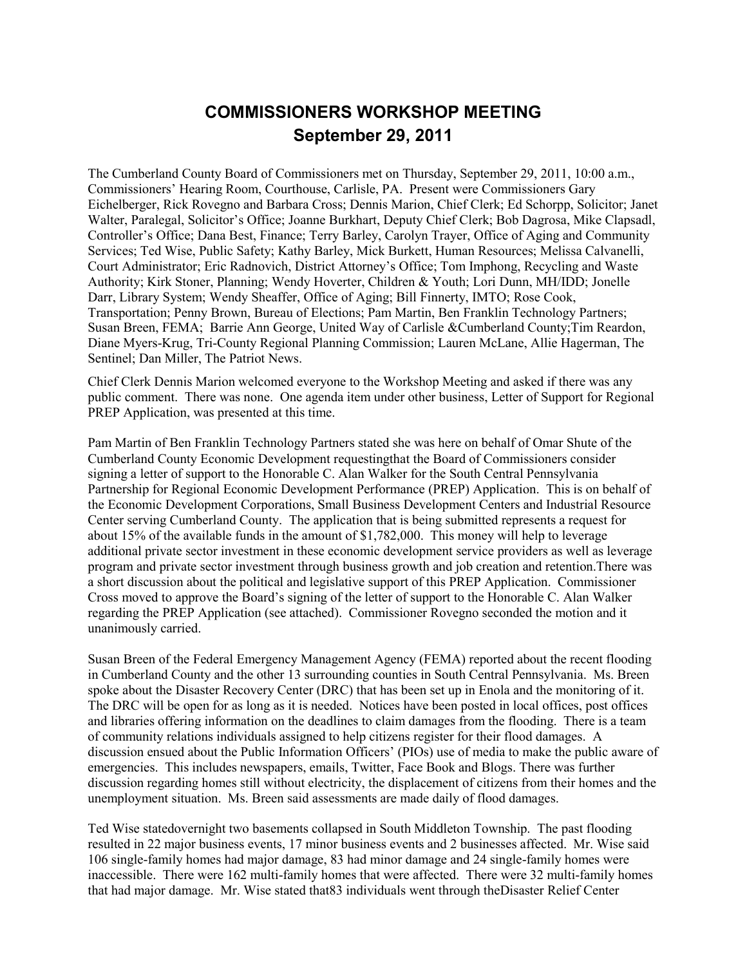## **COMMISSIONERS WORKSHOP MEETING September 29, 2011**

The Cumberland County Board of Commissioners met on Thursday, September 29, 2011, 10:00 a.m., Commissioners' Hearing Room, Courthouse, Carlisle, PA. Present were Commissioners Gary Eichelberger, Rick Rovegno and Barbara Cross; Dennis Marion, Chief Clerk; Ed Schorpp, Solicitor; Janet Walter, Paralegal, Solicitor's Office; Joanne Burkhart, Deputy Chief Clerk; Bob Dagrosa, Mike Clapsadl, Controller's Office; Dana Best, Finance; Terry Barley, Carolyn Trayer, Office of Aging and Community Services; Ted Wise, Public Safety; Kathy Barley, Mick Burkett, Human Resources; Melissa Calvanelli, Court Administrator; Eric Radnovich, District Attorney's Office; Tom Imphong, Recycling and Waste Authority; Kirk Stoner, Planning; Wendy Hoverter, Children & Youth; Lori Dunn, MH/IDD; Jonelle Darr, Library System; Wendy Sheaffer, Office of Aging; Bill Finnerty, IMTO; Rose Cook, Transportation; Penny Brown, Bureau of Elections; Pam Martin, Ben Franklin Technology Partners; Susan Breen, FEMA; Barrie Ann George, United Way of Carlisle &Cumberland County;Tim Reardon, Diane Myers-Krug, Tri-County Regional Planning Commission; Lauren McLane, Allie Hagerman, The Sentinel; Dan Miller, The Patriot News.

Chief Clerk Dennis Marion welcomed everyone to the Workshop Meeting and asked if there was any public comment. There was none. One agenda item under other business, Letter of Support for Regional PREP Application, was presented at this time.

Pam Martin of Ben Franklin Technology Partners stated she was here on behalf of Omar Shute of the Cumberland County Economic Development requestingthat the Board of Commissioners consider signing a letter of support to the Honorable C. Alan Walker for the South Central Pennsylvania Partnership for Regional Economic Development Performance (PREP) Application. This is on behalf of the Economic Development Corporations, Small Business Development Centers and Industrial Resource Center serving Cumberland County. The application that is being submitted represents a request for about 15% of the available funds in the amount of \$1,782,000. This money will help to leverage additional private sector investment in these economic development service providers as well as leverage program and private sector investment through business growth and job creation and retention.There was a short discussion about the political and legislative support of this PREP Application. Commissioner Cross moved to approve the Board's signing of the letter of support to the Honorable C. Alan Walker regarding the PREP Application (see attached). Commissioner Rovegno seconded the motion and it unanimously carried.

Susan Breen of the Federal Emergency Management Agency (FEMA) reported about the recent flooding in Cumberland County and the other 13 surrounding counties in South Central Pennsylvania. Ms. Breen spoke about the Disaster Recovery Center (DRC) that has been set up in Enola and the monitoring of it. The DRC will be open for as long as it is needed. Notices have been posted in local offices, post offices and libraries offering information on the deadlines to claim damages from the flooding. There is a team of community relations individuals assigned to help citizens register for their flood damages. A discussion ensued about the Public Information Officers' (PIOs) use of media to make the public aware of emergencies. This includes newspapers, emails, Twitter, Face Book and Blogs. There was further discussion regarding homes still without electricity, the displacement of citizens from their homes and the unemployment situation. Ms. Breen said assessments are made daily of flood damages.

Ted Wise statedovernight two basements collapsed in South Middleton Township. The past flooding resulted in 22 major business events, 17 minor business events and 2 businesses affected. Mr. Wise said 106 single-family homes had major damage, 83 had minor damage and 24 single-family homes were inaccessible. There were 162 multi-family homes that were affected. There were 32 multi-family homes that had major damage. Mr. Wise stated that83 individuals went through theDisaster Relief Center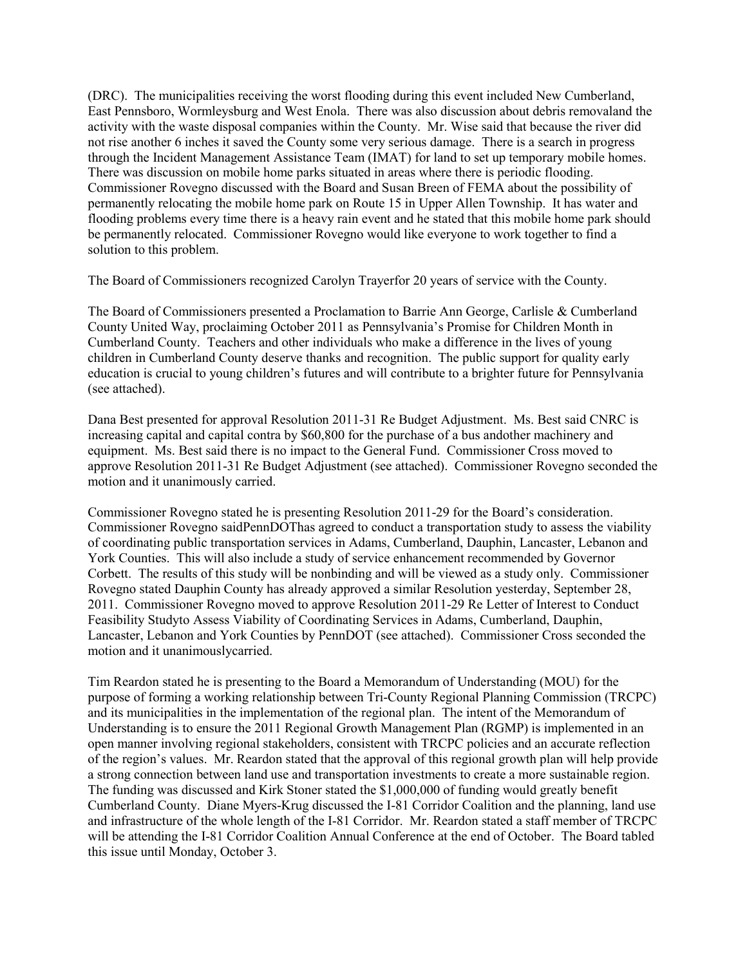(DRC). The municipalities receiving the worst flooding during this event included New Cumberland, East Pennsboro, Wormleysburg and West Enola. There was also discussion about debris removaland the activity with the waste disposal companies within the County. Mr. Wise said that because the river did not rise another 6 inches it saved the County some very serious damage. There is a search in progress through the Incident Management Assistance Team (IMAT) for land to set up temporary mobile homes. There was discussion on mobile home parks situated in areas where there is periodic flooding. Commissioner Rovegno discussed with the Board and Susan Breen of FEMA about the possibility of permanently relocating the mobile home park on Route 15 in Upper Allen Township. It has water and flooding problems every time there is a heavy rain event and he stated that this mobile home park should be permanently relocated. Commissioner Rovegno would like everyone to work together to find a solution to this problem.

The Board of Commissioners recognized Carolyn Trayerfor 20 years of service with the County.

The Board of Commissioners presented a Proclamation to Barrie Ann George, Carlisle & Cumberland County United Way, proclaiming October 2011 as Pennsylvania's Promise for Children Month in Cumberland County. Teachers and other individuals who make a difference in the lives of young children in Cumberland County deserve thanks and recognition. The public support for quality early education is crucial to young children's futures and will contribute to a brighter future for Pennsylvania (see attached).

Dana Best presented for approval Resolution 2011-31 Re Budget Adjustment. Ms. Best said CNRC is increasing capital and capital contra by \$60,800 for the purchase of a bus andother machinery and equipment. Ms. Best said there is no impact to the General Fund. Commissioner Cross moved to approve Resolution 2011-31 Re Budget Adjustment (see attached). Commissioner Rovegno seconded the motion and it unanimously carried.

Commissioner Rovegno stated he is presenting Resolution 2011-29 for the Board's consideration. Commissioner Rovegno saidPennDOThas agreed to conduct a transportation study to assess the viability of coordinating public transportation services in Adams, Cumberland, Dauphin, Lancaster, Lebanon and York Counties. This will also include a study of service enhancement recommended by Governor Corbett. The results of this study will be nonbinding and will be viewed as a study only. Commissioner Rovegno stated Dauphin County has already approved a similar Resolution yesterday, September 28, 2011. Commissioner Rovegno moved to approve Resolution 2011-29 Re Letter of Interest to Conduct Feasibility Studyto Assess Viability of Coordinating Services in Adams, Cumberland, Dauphin, Lancaster, Lebanon and York Counties by PennDOT (see attached). Commissioner Cross seconded the motion and it unanimouslycarried.

Tim Reardon stated he is presenting to the Board a Memorandum of Understanding (MOU) for the purpose of forming a working relationship between Tri-County Regional Planning Commission (TRCPC) and its municipalities in the implementation of the regional plan. The intent of the Memorandum of Understanding is to ensure the 2011 Regional Growth Management Plan (RGMP) is implemented in an open manner involving regional stakeholders, consistent with TRCPC policies and an accurate reflection of the region's values. Mr. Reardon stated that the approval of this regional growth plan will help provide a strong connection between land use and transportation investments to create a more sustainable region. The funding was discussed and Kirk Stoner stated the \$1,000,000 of funding would greatly benefit Cumberland County. Diane Myers-Krug discussed the I-81 Corridor Coalition and the planning, land use and infrastructure of the whole length of the I-81 Corridor. Mr. Reardon stated a staff member of TRCPC will be attending the I-81 Corridor Coalition Annual Conference at the end of October. The Board tabled this issue until Monday, October 3.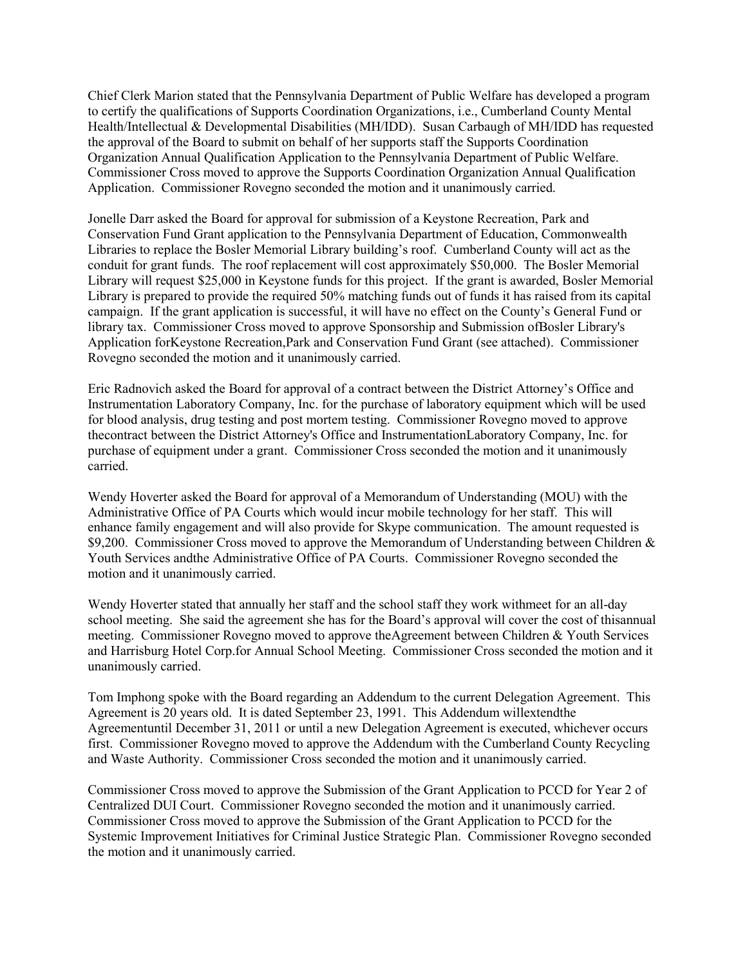Chief Clerk Marion stated that the Pennsylvania Department of Public Welfare has developed a program to certify the qualifications of Supports Coordination Organizations, i.e., Cumberland County Mental Health/Intellectual & Developmental Disabilities (MH/IDD). Susan Carbaugh of MH/IDD has requested the approval of the Board to submit on behalf of her supports staff the Supports Coordination Organization Annual Qualification Application to the Pennsylvania Department of Public Welfare. Commissioner Cross moved to approve the Supports Coordination Organization Annual Qualification Application. Commissioner Rovegno seconded the motion and it unanimously carried.

Jonelle Darr asked the Board for approval for submission of a Keystone Recreation, Park and Conservation Fund Grant application to the Pennsylvania Department of Education, Commonwealth Libraries to replace the Bosler Memorial Library building's roof. Cumberland County will act as the conduit for grant funds. The roof replacement will cost approximately \$50,000. The Bosler Memorial Library will request \$25,000 in Keystone funds for this project. If the grant is awarded, Bosler Memorial Library is prepared to provide the required 50% matching funds out of funds it has raised from its capital campaign. If the grant application is successful, it will have no effect on the County's General Fund or library tax. Commissioner Cross moved to approve Sponsorship and Submission ofBosler Library's Application forKeystone Recreation,Park and Conservation Fund Grant (see attached). Commissioner Rovegno seconded the motion and it unanimously carried.

Eric Radnovich asked the Board for approval of a contract between the District Attorney's Office and Instrumentation Laboratory Company, Inc. for the purchase of laboratory equipment which will be used for blood analysis, drug testing and post mortem testing. Commissioner Rovegno moved to approve thecontract between the District Attorney's Office and InstrumentationLaboratory Company, Inc. for purchase of equipment under a grant. Commissioner Cross seconded the motion and it unanimously carried.

Wendy Hoverter asked the Board for approval of a Memorandum of Understanding (MOU) with the Administrative Office of PA Courts which would incur mobile technology for her staff. This will enhance family engagement and will also provide for Skype communication. The amount requested is \$9,200. Commissioner Cross moved to approve the Memorandum of Understanding between Children & Youth Services andthe Administrative Office of PA Courts. Commissioner Rovegno seconded the motion and it unanimously carried.

Wendy Hoverter stated that annually her staff and the school staff they work withmeet for an all-day school meeting. She said the agreement she has for the Board's approval will cover the cost of thisannual meeting. Commissioner Rovegno moved to approve theAgreement between Children & Youth Services and Harrisburg Hotel Corp.for Annual School Meeting. Commissioner Cross seconded the motion and it unanimously carried.

Tom Imphong spoke with the Board regarding an Addendum to the current Delegation Agreement. This Agreement is 20 years old. It is dated September 23, 1991. This Addendum willextendthe Agreementuntil December 31, 2011 or until a new Delegation Agreement is executed, whichever occurs first. Commissioner Rovegno moved to approve the Addendum with the Cumberland County Recycling and Waste Authority. Commissioner Cross seconded the motion and it unanimously carried.

Commissioner Cross moved to approve the Submission of the Grant Application to PCCD for Year 2 of Centralized DUI Court. Commissioner Rovegno seconded the motion and it unanimously carried. Commissioner Cross moved to approve the Submission of the Grant Application to PCCD for the Systemic Improvement Initiatives for Criminal Justice Strategic Plan. Commissioner Rovegno seconded the motion and it unanimously carried.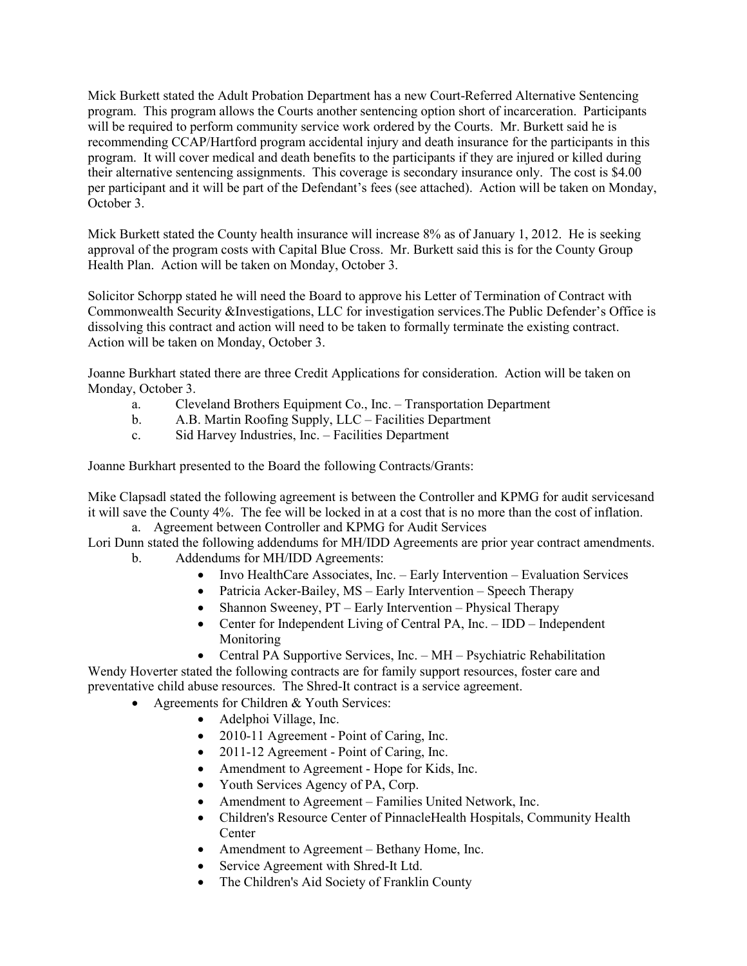Mick Burkett stated the Adult Probation Department has a new Court-Referred Alternative Sentencing program. This program allows the Courts another sentencing option short of incarceration. Participants will be required to perform community service work ordered by the Courts. Mr. Burkett said he is recommending CCAP/Hartford program accidental injury and death insurance for the participants in this program. It will cover medical and death benefits to the participants if they are injured or killed during their alternative sentencing assignments. This coverage is secondary insurance only. The cost is \$4.00 per participant and it will be part of the Defendant's fees (see attached). Action will be taken on Monday, October 3.

Mick Burkett stated the County health insurance will increase 8% as of January 1, 2012. He is seeking approval of the program costs with Capital Blue Cross. Mr. Burkett said this is for the County Group Health Plan. Action will be taken on Monday, October 3.

Solicitor Schorpp stated he will need the Board to approve his Letter of Termination of Contract with Commonwealth Security &Investigations, LLC for investigation services.The Public Defender's Office is dissolving this contract and action will need to be taken to formally terminate the existing contract. Action will be taken on Monday, October 3.

Joanne Burkhart stated there are three Credit Applications for consideration. Action will be taken on Monday, October 3.

- a. Cleveland Brothers Equipment Co., Inc. Transportation Department
- b. A.B. Martin Roofing Supply, LLC Facilities Department
- c. Sid Harvey Industries, Inc. Facilities Department

Joanne Burkhart presented to the Board the following Contracts/Grants:

Mike Clapsadl stated the following agreement is between the Controller and KPMG for audit servicesand it will save the County 4%. The fee will be locked in at a cost that is no more than the cost of inflation. a. Agreement between Controller and KPMG for Audit Services

Lori Dunn stated the following addendums for MH/IDD Agreements are prior year contract amendments. b. Addendums for MH/IDD Agreements:

- - Invo HealthCare Associates, Inc. Early Intervention Evaluation Services
	- Patricia Acker-Bailey, MS Early Intervention Speech Therapy
	- Shannon Sweeney, PT Early Intervention Physical Therapy
	- Center for Independent Living of Central PA, Inc. IDD Independent Monitoring
	- Central PA Supportive Services, Inc. MH Psychiatric Rehabilitation

Wendy Hoverter stated the following contracts are for family support resources, foster care and preventative child abuse resources. The Shred-It contract is a service agreement.

- Agreements for Children & Youth Services:
	- Adelphoi Village, Inc.
	- 2010-11 Agreement Point of Caring, Inc.
	- 2011-12 Agreement Point of Caring, Inc.
	- Amendment to Agreement Hope for Kids, Inc.
	- Youth Services Agency of PA, Corp.
	- Amendment to Agreement Families United Network, Inc.
	- Children's Resource Center of PinnacleHealth Hospitals, Community Health Center
	- Amendment to Agreement Bethany Home, Inc.
	- Service Agreement with Shred-It Ltd.
	- The Children's Aid Society of Franklin County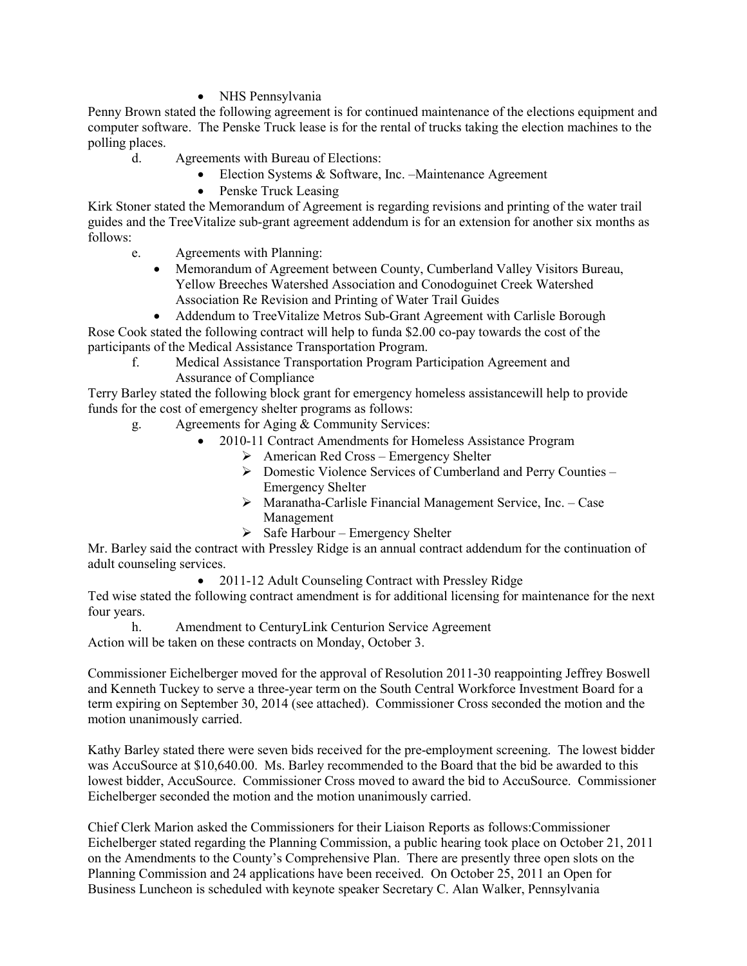• NHS Pennsylvania

Penny Brown stated the following agreement is for continued maintenance of the elections equipment and computer software. The Penske Truck lease is for the rental of trucks taking the election machines to the polling places.

- d. Agreements with Bureau of Elections:
	- Election Systems & Software, Inc. –Maintenance Agreement
	- Penske Truck Leasing

Kirk Stoner stated the Memorandum of Agreement is regarding revisions and printing of the water trail guides and the TreeVitalize sub-grant agreement addendum is for an extension for another six months as follows:

- e. Agreements with Planning:
	- Memorandum of Agreement between County, Cumberland Valley Visitors Bureau, Yellow Breeches Watershed Association and Conodoguinet Creek Watershed Association Re Revision and Printing of Water Trail Guides

• Addendum to TreeVitalize Metros Sub-Grant Agreement with Carlisle Borough Rose Cook stated the following contract will help to funda \$2.00 co-pay towards the cost of the participants of the Medical Assistance Transportation Program.

 f. Medical Assistance Transportation Program Participation Agreement and Assurance of Compliance

Terry Barley stated the following block grant for emergency homeless assistancewill help to provide funds for the cost of emergency shelter programs as follows:

- g. Agreements for Aging & Community Services:
	- 2010-11 Contract Amendments for Homeless Assistance Program
		- $\triangleright$  American Red Cross Emergency Shelter
		- Ø Domestic Violence Services of Cumberland and Perry Counties Emergency Shelter
		- $\triangleright$  Maranatha-Carlisle Financial Management Service, Inc. Case Management
		- $\triangleright$  Safe Harbour Emergency Shelter

Mr. Barley said the contract with Pressley Ridge is an annual contract addendum for the continuation of adult counseling services.

• 2011-12 Adult Counseling Contract with Pressley Ridge

Ted wise stated the following contract amendment is for additional licensing for maintenance for the next four years.

 h. Amendment to CenturyLink Centurion Service Agreement Action will be taken on these contracts on Monday, October 3.

Commissioner Eichelberger moved for the approval of Resolution 2011-30 reappointing Jeffrey Boswell and Kenneth Tuckey to serve a three-year term on the South Central Workforce Investment Board for a term expiring on September 30, 2014 (see attached). Commissioner Cross seconded the motion and the motion unanimously carried.

Kathy Barley stated there were seven bids received for the pre-employment screening. The lowest bidder was AccuSource at \$10,640.00. Ms. Barley recommended to the Board that the bid be awarded to this lowest bidder, AccuSource. Commissioner Cross moved to award the bid to AccuSource. Commissioner Eichelberger seconded the motion and the motion unanimously carried.

Chief Clerk Marion asked the Commissioners for their Liaison Reports as follows:Commissioner Eichelberger stated regarding the Planning Commission, a public hearing took place on October 21, 2011 on the Amendments to the County's Comprehensive Plan. There are presently three open slots on the Planning Commission and 24 applications have been received. On October 25, 2011 an Open for Business Luncheon is scheduled with keynote speaker Secretary C. Alan Walker, Pennsylvania